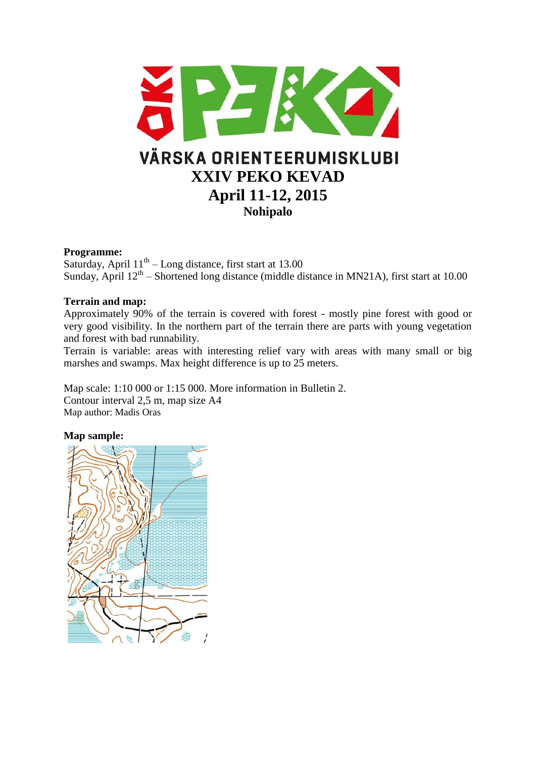

# **Programme:**

Saturday, April  $11<sup>th</sup> - Long distance$ , first start at 13.00 Sunday, April  $12<sup>th</sup>$  – Shortened long distance (middle distance in MN21A), first start at 10.00

# **Terrain and map:**

Approximately 90% of the terrain is covered with forest - mostly pine forest with good or very good visibility. In the northern part of the terrain there are parts with young vegetation and forest with bad runnability.

Terrain is variable: areas with interesting relief vary with areas with many small or big marshes and swamps. Max height difference is up to 25 meters.

Map scale: 1:10 000 or 1:15 000. More information in Bulletin 2. Contour interval 2,5 m, map size A4 Map author: Madis Oras

### **Map sample:**

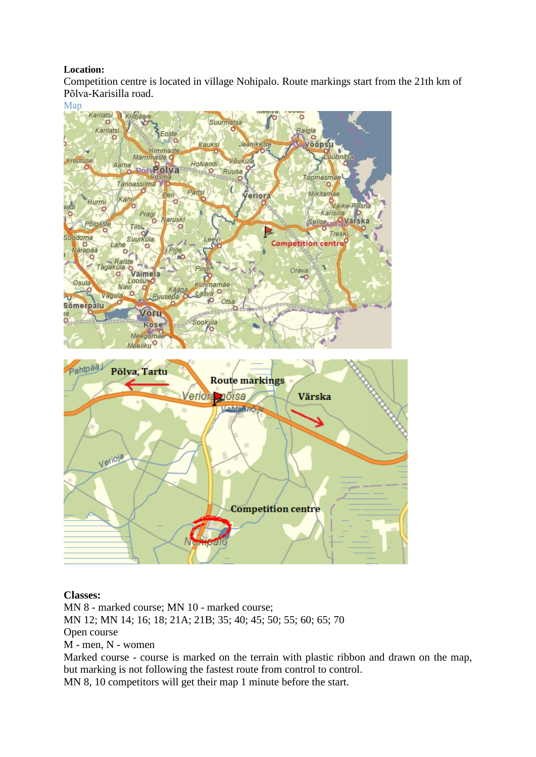# **Location:**

Competition centre is located in village Nohipalo. Route markings start from the 21th km of Põlva-Karisilla road.



### **Classes:**

MN 8 - marked course; MN 10 - marked course; MN 12; MN 14; 16; 18; 21A; 21B; 35; 40; 45; 50; 55; 60; 65; 70 Open course M - men, N - women Marked course - course is marked on the terrain with plastic ribbon and drawn on the map, but marking is not following the fastest route from control to control.

MN 8, 10 competitors will get their map 1 minute before the start.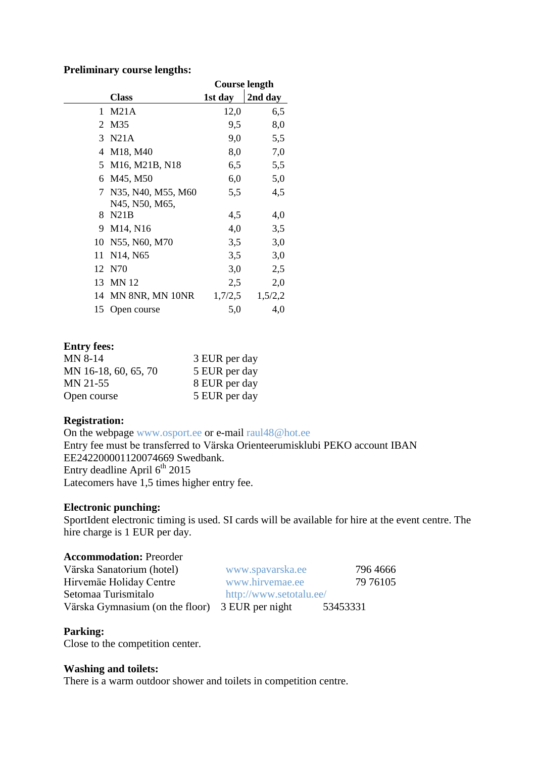#### **Preliminary course lengths:**

|    |                                                      | Course length |         |
|----|------------------------------------------------------|---------------|---------|
|    | <b>Class</b>                                         | 1st day       | 2nd day |
| 1. | M21A                                                 | 12,0          | 6,5     |
| 2  | M35                                                  | 9,5           | 8,0     |
|    | 3 N21A                                               | 9,0           | 5,5     |
|    | 4 M18, M40                                           | 8,0           | 7,0     |
| 5. | M <sub>16</sub> , M <sub>21</sub> B, N <sub>18</sub> | 6,5           | 5,5     |
| 6  | M45, M50                                             | 6,0           | 5,0     |
| 7  | N35, N40, M55, M60                                   | 5,5           | 4,5     |
|    | N45, N50, M65,                                       |               |         |
| 8. | N21B                                                 | 4,5           | 4,0     |
|    | 9 M14, N16                                           | 4,0           | 3,5     |
| 10 | N55, N60, M70                                        | 3,5           | 3,0     |
| 11 | N <sub>14</sub> , N <sub>65</sub>                    | 3,5           | 3,0     |
| 12 | N70                                                  | 3,0           | 2,5     |
|    | 13 MN 12                                             | 2,5           | 2,0     |
|    | 14 MN 8NR, MN 10NR                                   | 1,7/2,5       | 1,5/2,2 |
| 15 | Open course                                          | 5,0           | 4,0     |

### **Entry fees:**

| <b>MN 8-14</b>       | 3 EUR per day |
|----------------------|---------------|
| MN 16-18, 60, 65, 70 | 5 EUR per day |
| MN 21-55             | 8 EUR per day |
| Open course          | 5 EUR per day |

## **Registration:**

On the webpage [www.osport.ee](http://www.osport.ee/) or e-mail [raul48@hot.ee](mailto:raul48@hot.ee) Entry fee must be transferred to Värska Orienteerumisklubi PEKO account IBAN EE242200001120074669 Swedbank. Entry deadline April  $6<sup>th</sup>$  2015 Latecomers have 1,5 times higher entry fee.

### **Electronic punching:**

SportIdent electronic timing is used. SI cards will be available for hire at the event centre. The hire charge is 1 EUR per day.

# **Accommodation:** Preorder

| Värska Sanatorium (hotel)                       | www.spavarska.ee        | 796 4666 |
|-------------------------------------------------|-------------------------|----------|
| Hirvemäe Holiday Centre                         | www.hirvemae.ee         | 79 76105 |
| Setomaa Turismitalo                             | http://www.setotalu.ee/ |          |
| Värska Gymnasium (on the floor) 3 EUR per night |                         | 53453331 |

### **Parking:**

Close to the competition center.

#### **Washing and toilets:**

There is a warm outdoor shower and toilets in competition centre.